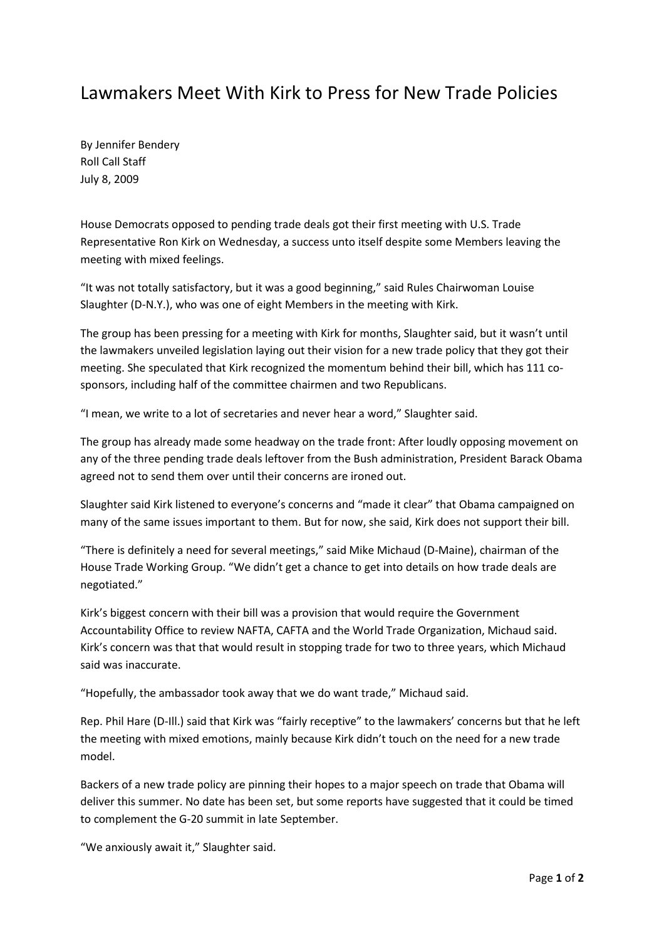## Lawmakers Meet With Kirk to Press for New Trade Policies

By Jennifer Bendery Roll Call Staff July 8, 2009

House Democrats opposed to pending trade deals got their first meeting with U.S. Trade Representative Ron Kirk on Wednesday, a success unto itself despite some Members leaving the meeting with mixed feelings.

"It was not totally satisfactory, but it was a good beginning," said Rules Chairwoman Louise Slaughter (D-N.Y.), who was one of eight Members in the meeting with Kirk.

The group has been pressing for a meeting with Kirk for months, Slaughter said, but it wasn't until the lawmakers unveiled legislation laying out their vision for a new trade policy that they got their meeting. She speculated that Kirk recognized the momentum behind their bill, which has 111 cosponsors, including half of the committee chairmen and two Republicans.

"I mean, we write to a lot of secretaries and never hear a word," Slaughter said.

The group has already made some headway on the trade front: After loudly opposing movement on any of the three pending trade deals leftover from the Bush administration, President Barack Obama agreed not to send them over until their concerns are ironed out.

Slaughter said Kirk listened to everyone's concerns and "made it clear" that Obama campaigned on many of the same issues important to them. But for now, she said, Kirk does not support their bill.

"There is definitely a need for several meetings," said Mike Michaud (D-Maine), chairman of the House Trade Working Group. "We didn't get a chance to get into details on how trade deals are negotiated."

Kirk's biggest concern with their bill was a provision that would require the Government Accountability Office to review NAFTA, CAFTA and the World Trade Organization, Michaud said. Kirk's concern was that that would result in stopping trade for two to three years, which Michaud said was inaccurate.

"Hopefully, the ambassador took away that we do want trade," Michaud said.

Rep. Phil Hare (D-Ill.) said that Kirk was "fairly receptive" to the lawmakers' concerns but that he left the meeting with mixed emotions, mainly because Kirk didn't touch on the need for a new trade model.

Backers of a new trade policy are pinning their hopes to a major speech on trade that Obama will deliver this summer. No date has been set, but some reports have suggested that it could be timed to complement the G-20 summit in late September.

"We anxiously await it," Slaughter said.